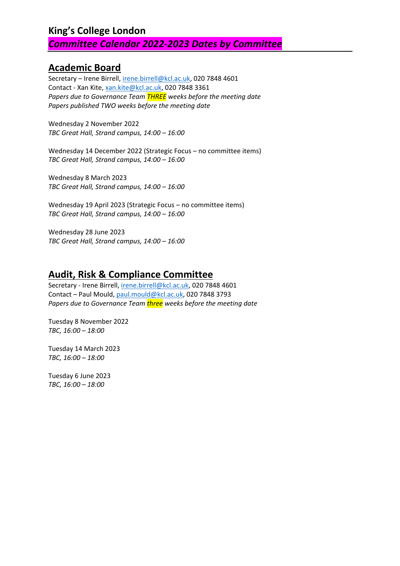### **King's College London** *Committee Calendar 2022-2023 Dates by Committee*

### **[Academic Board](http://www.kcl.ac.uk/aboutkings/governance/committees/acboard/index.aspx)**

Secretary – Irene Birrell, [irene.birrell@kcl.ac.uk,](mailto:irene.birrell@kcl.ac.uk) 020 7848 4601 Contact - Xan Kite, [xan.kite@kcl.ac.uk,](mailto:xan.kite@kcl.ac.uk) 020 7848 3361 *Papers due to Governance Team THREE weeks before the meeting date Papers published TWO weeks before the meeting date*

Wednesday 2 November 2022 *TBC Great Hall, Strand campus, 14:00 – 16:00*

Wednesday 14 December 2022 (Strategic Focus – no committee items) *TBC Great Hall, Strand campus, 14:00 – 16:00*

Wednesday 8 March 2023 *TBC Great Hall, Strand campus, 14:00 – 16:00*

Wednesday 19 April 2023 (Strategic Focus – no committee items) *TBC Great Hall, Strand campus, 14:00 – 16:00* 

Wednesday 28 June 2023 *TBC Great Hall, Strand campus, 14:00 – 16:00*

### **[Audit, Risk & Compliance Committee](http://www.kcl.ac.uk/aboutkings/governance/committees/Audit/audit.aspx)**

Secretary - Irene Birrell, [irene.birrell@kcl.ac.uk,](mailto:irene.birrell@kcl.ac.uk) 020 7848 4601 Contact – Paul Mould, [paul.mould@kcl.ac.uk,](mailto:paul.mould@kcl.ac.uk) 020 7848 3793 *Papers due to Governance Team three weeks before the meeting date*

Tuesday 8 November 2022 *TBC, 16:00 – 18:00*

Tuesday 14 March 2023 *TBC, 16:00 – 18:00* 

Tuesday 6 June 2023 *TBC, 16:00 – 18:00*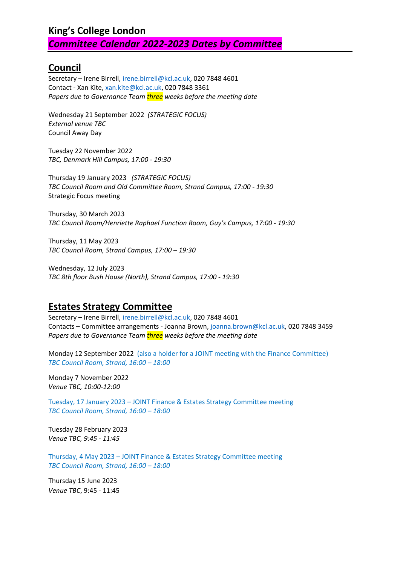# **King's College London**

### *Committee Calendar 2022-2023 Dates by Committee*

### **[Council](http://www.kcl.ac.uk/aboutkings/governance/council/index.aspx)**

Secretary – Irene Birrell, [irene.birrell@kcl.ac.uk,](mailto:irene.birrell@kcl.ac.uk) 020 7848 4601 Contact - Xan Kite, [xan.kite@kcl.ac.uk,](mailto:xan.kite@kcl.ac.uk) 020 7848 3361 *Papers due to Governance Team three weeks before the meeting date*

Wednesday 21 September 2022 *(STRATEGIC FOCUS) External venue TBC* Council Away Day

Tuesday 22 November 2022 *TBC, Denmark Hill Campus, 17:00 - 19:30* 

Thursday 19 January 2023 *(STRATEGIC FOCUS) TBC Council Room and Old Committee Room, Strand Campus, 17:00 - 19:30* Strategic Focus meeting

Thursday, 30 March 2023 *TBC Council Room/Henriette Raphael Function Room, Guy's Campus, 17:00 - 19:30* 

Thursday, 11 May 2023 *TBC Council Room, Strand Campus, 17:00 – 19:30*

Wednesday, 12 July 2023 *TBC 8th floor Bush House (North), Strand Campus, 17:00 - 19:30*

### **[Estates Strategy Committee](http://www.kcl.ac.uk/aboutkings/governance/committees/Estates/estates.aspx)**

Secretary – Irene Birrell, [irene.birrell@kcl.ac.uk,](mailto:irene.birrell@kcl.ac.uk) 020 7848 4601 Contacts – Committee arrangements - Joanna Brown, [joanna.brown@kcl.ac.uk,](mailto:joanna.brown@kcl.ac.uk) 020 7848 3459 *Papers due to Governance Team three weeks before the meeting date*

Monday 12 September 2022 (also a holder for a JOINT meeting with the Finance Committee) *TBC Council Room, Strand, 16:00 – 18:00*

Monday 7 November 2022 *Venue TBC, 10:00-12:00*

Tuesday, 17 January 2023 – JOINT Finance & Estates Strategy Committee meeting *TBC Council Room, Strand, 16:00 – 18:00*

Tuesday 28 February 2023 *Venue TBC, 9:45 - 11:45* 

Thursday, 4 May 2023 – JOINT Finance & Estates Strategy Committee meeting *TBC Council Room, Strand, 16:00 – 18:00*

Thursday 15 June 2023 *Venue TBC*, 9:45 - 11:45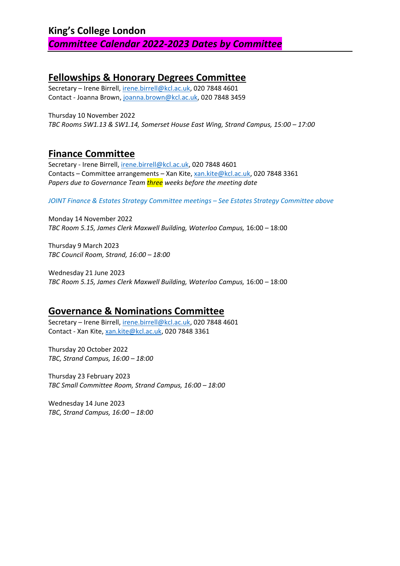### **King's College London** *Committee Calendar 2022-2023 Dates by Committee*

#### **[Fellowships & Honorary Degrees Committee](http://www.kcl.ac.uk/aboutkings/governance/committees/hondegrees.aspx)**

Secretary – Irene Birrell, [irene.birrell@kcl.ac.uk,](mailto:irene.birrell@kcl.ac.uk) 020 7848 4601 Contact - Joanna Brown, [joanna.brown@kcl.ac.uk,](mailto:joanna.brown@kcl.ac.uk) 020 7848 3459

Thursday 10 November 2022 *TBC Rooms SW1.13 & SW1.14, Somerset House East Wing, Strand Campus, 15:00 – 17:00*

#### **[Finance Committee](http://www.kcl.ac.uk/aboutkings/governance/committees/Finance/finance.aspx)**

Secretary - Irene Birrell, [irene.birrell@kcl.ac.uk,](mailto:irene.birrell@kcl.ac.uk) 020 7848 4601 Contacts – Committee arrangements – Xan Kite, [xan.kite@kcl.ac.uk,](mailto:xan.kite@kcl.ac.uk) 020 7848 3361 *Papers due to Governance Team three weeks before the meeting date*

*JOINT Finance & Estates Strategy Committee meetings – See Estates Strategy Committee above*

Monday 14 November 2022 *TBC Room 5.15, James Clerk Maxwell Building, Waterloo Campus,* 16:00 – 18:00

Thursday 9 March 2023 *TBC Council Room, Strand, 16:00 – 18:00*

Wednesday 21 June 2023 *TBC Room 5.15, James Clerk Maxwell Building, Waterloo Campus,* 16:00 – 18:00

#### **Governance & [Nominations Committee](http://www.kcl.ac.uk/aboutkings/governance/committees/Finance/finance.aspx)**

Secretary – Irene Birrell, [irene.birrell@kcl.ac.uk,](mailto:irene.birrell@kcl.ac.uk) 020 7848 4601 Contact - Xan Kite, [xan.kite@kcl.ac.uk,](mailto:xan.kite@kcl.ac.uk) 020 7848 3361

Thursday 20 October 2022 *TBC, Strand Campus, 16:00 – 18:00*

Thursday 23 February 2023 *TBC Small Committee Room, Strand Campus, 16:00 – 18:00*

Wednesday 14 June 2023 *TBC, Strand Campus, 16:00 – 18:00*